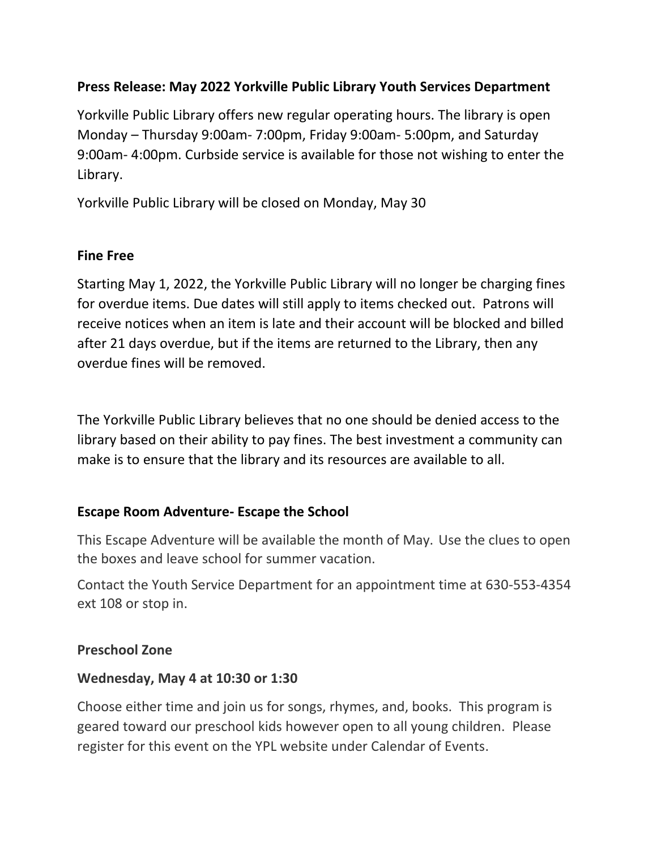# **Press Release: May 2022 Yorkville Public Library Youth Services Department**

Yorkville Public Library offers new regular operating hours. The library is open Monday – Thursday 9:00am- 7:00pm, Friday 9:00am- 5:00pm, and Saturday 9:00am- 4:00pm. Curbside service is available for those not wishing to enter the Library.

Yorkville Public Library will be closed on Monday, May 30

# **Fine Free**

Starting May 1, 2022, the Yorkville Public Library will no longer be charging fines for overdue items. Due dates will still apply to items checked out. Patrons will receive notices when an item is late and their account will be blocked and billed after 21 days overdue, but if the items are returned to the Library, then any overdue fines will be removed.

The Yorkville Public Library believes that no one should be denied access to the library based on their ability to pay fines. The best investment a community can make is to ensure that the library and its resources are available to all.

# **Escape Room Adventure- Escape the School**

This Escape Adventure will be available the month of May. Use the clues to open the boxes and leave school for summer vacation.

Contact the Youth Service Department for an appointment time at 630-553-4354 ext 108 or stop in.

## **Preschool Zone**

## **Wednesday, May 4 at 10:30 or 1:30**

Choose either time and join us for songs, rhymes, and, books. This program is geared toward our preschool kids however open to all young children. Please register for this event on the YPL website under Calendar of Events.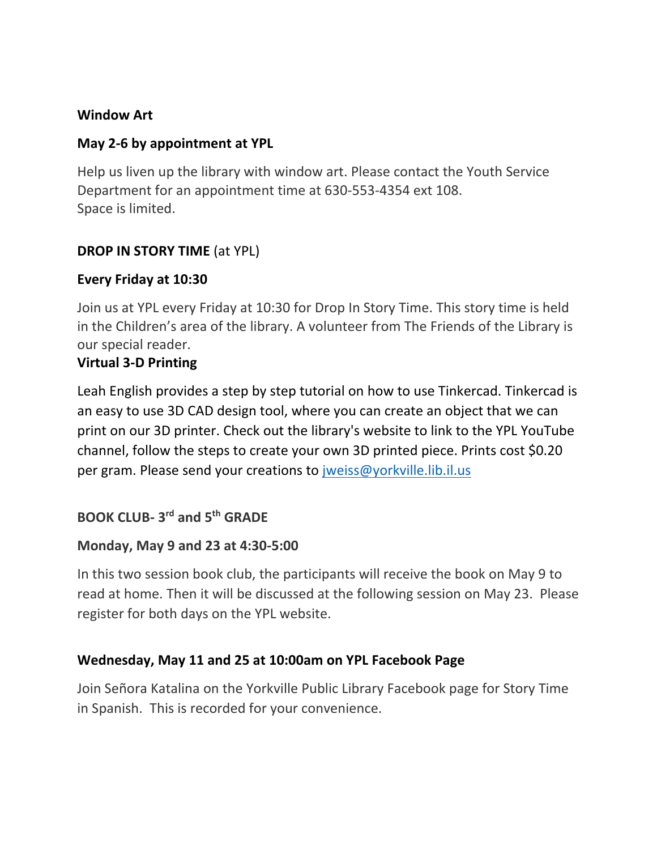## **Window Art**

# **May 2-6 by appointment at YPL**

Help us liven up the library with window art. Please contact the Youth Service Department for an appointment time at 630-553-4354 ext 108. Space is limited.

# **DROP IN STORY TIME** (at YPL)

## **Every Friday at 10:30**

Join us at YPL every Friday at 10:30 for Drop In Story Time. This story time is held in the Children's area of the library. A volunteer from The Friends of the Library is our special reader.

# **Virtual 3-D Printing**

Leah English provides a step by step tutorial on how to use Tinkercad. Tinkercad is an easy to use 3D CAD design tool, where you can create an object that we can print on our 3D printer. Check out the library's website to link to the YPL YouTube channel, follow the steps to create your own 3D printed piece. Prints cost \$0.20 per gram. Please send your creations to [jweiss@yorkville.lib.il.us](mailto:jweiss@yorkville.lib.il.us)

# **BOOK CLUB- 3 rd and 5th GRADE**

## **Monday, May 9 and 23 at 4:30-5:00**

In this two session book club, the participants will receive the book on May 9 to read at home. Then it will be discussed at the following session on May 23. Please register for both days on the YPL website.

# **Wednesday, May 11 and 25 at 10:00am on YPL Facebook Page**

Join Señora Katalina on the Yorkville Public Library Facebook page for Story Time in Spanish. This is recorded for your convenience.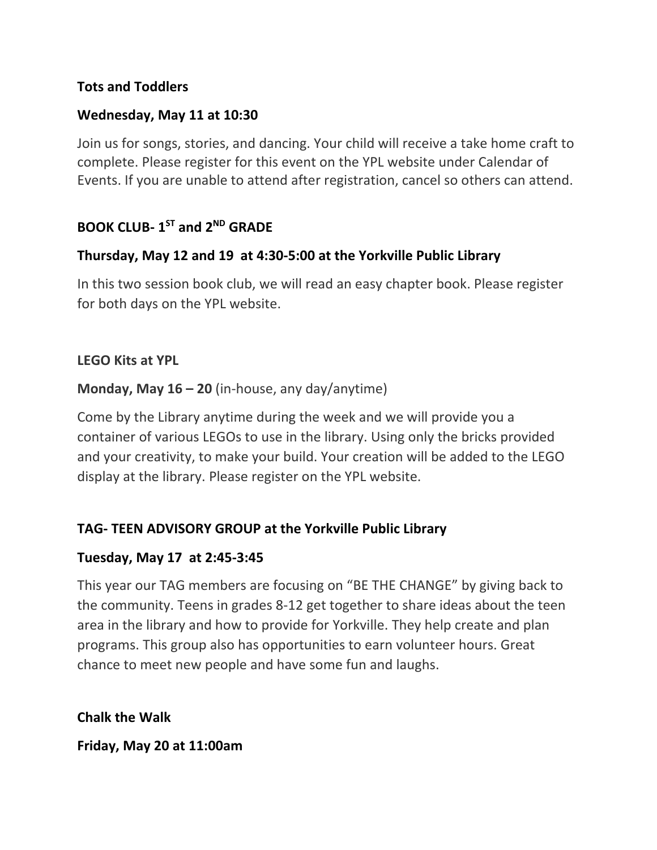## **Tots and Toddlers**

### **Wednesday, May 11 at 10:30**

Join us for songs, stories, and dancing. Your child will receive a take home craft to complete. Please register for this event on the YPL website under Calendar of Events. If you are unable to attend after registration, cancel so others can attend.

# **BOOK CLUB- 1 ST and 2ND GRADE**

## **Thursday, May 12 and 19 at 4:30-5:00 at the Yorkville Public Library**

In this two session book club, we will read an easy chapter book. Please register for both days on the YPL website.

#### **LEGO Kits at YPL**

#### **Monday, May 16 – 20** (in-house, any day/anytime)

Come by the Library anytime during the week and we will provide you a container of various LEGOs to use in the library. Using only the bricks provided and your creativity, to make your build. Your creation will be added to the LEGO display at the library. Please register on the YPL website.

## **TAG- TEEN ADVISORY GROUP at the Yorkville Public Library**

#### **Tuesday, May 17 at 2:45-3:45**

This year our TAG members are focusing on "BE THE CHANGE" by giving back to the community. Teens in grades 8-12 get together to share ideas about the teen area in the library and how to provide for Yorkville. They help create and plan programs. This group also has opportunities to earn volunteer hours. Great chance to meet new people and have some fun and laughs.

**Chalk the Walk** 

**Friday, May 20 at 11:00am**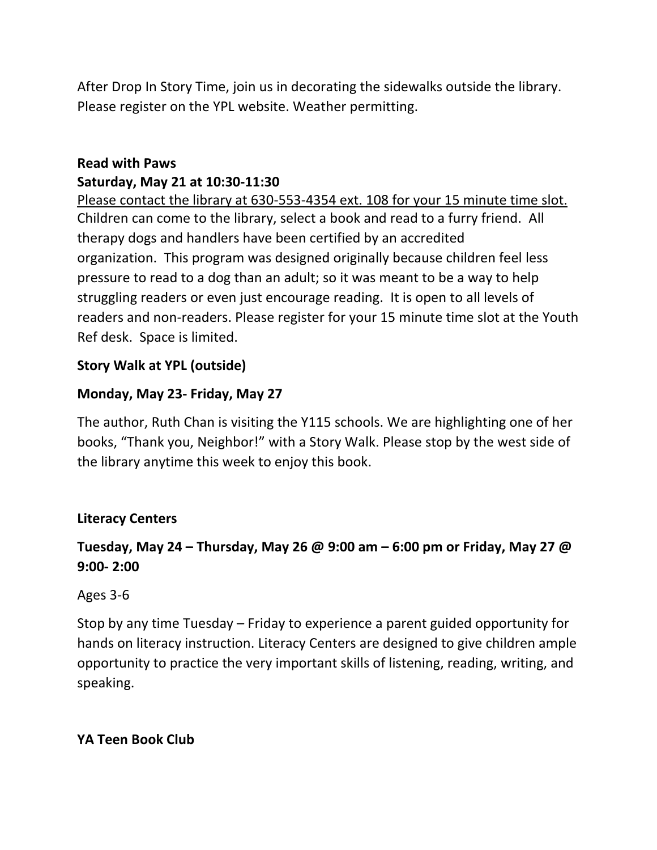After Drop In Story Time, join us in decorating the sidewalks outside the library. Please register on the YPL website. Weather permitting.

# **Read with Paws Saturday, May 21 at 10:30-11:30**

Please contact the library at 630-553-4354 ext. 108 for your 15 minute time slot. Children can come to the library, select a book and read to a furry friend. All therapy dogs and handlers have been certified by an accredited organization. This program was designed originally because children feel less pressure to read to a dog than an adult; so it was meant to be a way to help struggling readers or even just encourage reading. It is open to all levels of readers and non-readers. Please register for your 15 minute time slot at the Youth Ref desk. Space is limited.

# **Story Walk at YPL (outside)**

# **Monday, May 23- Friday, May 27**

The author, Ruth Chan is visiting the Y115 schools. We are highlighting one of her books, "Thank you, Neighbor!" with a Story Walk. Please stop by the west side of the library anytime this week to enjoy this book.

# **Literacy Centers**

# **Tuesday, May 24 – Thursday, May 26 @ 9:00 am – 6:00 pm or Friday, May 27 @ 9:00- 2:00**

# Ages 3-6

Stop by any time Tuesday – Friday to experience a parent guided opportunity for hands on literacy instruction. Literacy Centers are designed to give children ample opportunity to practice the very important skills of listening, reading, writing, and speaking.

# **YA Teen Book Club**